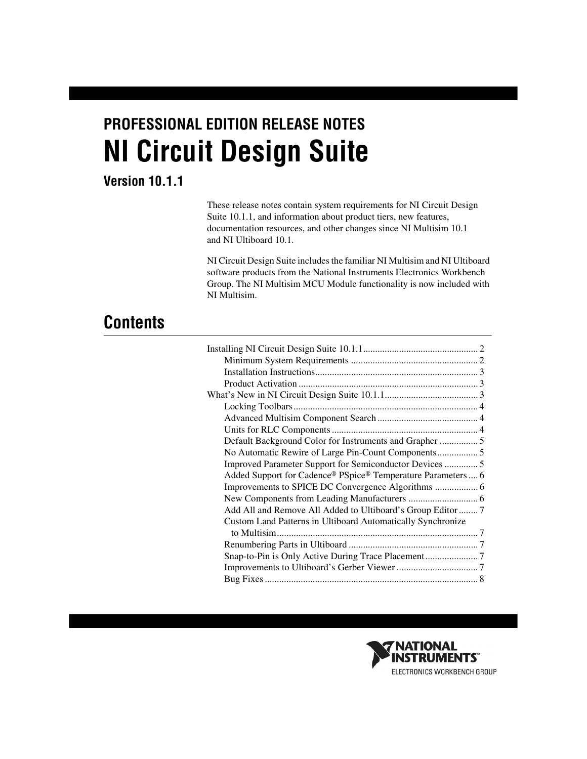# **PROFESSIONAL EDITION RELEASE NOTES NI Circuit Design Suite**

## **Version 10.1.1**

These release notes contain system requirements for NI Circuit Design Suite 10.1.1, and information about product tiers, new features, documentation resources, and other changes since NI Multisim 10.1 and NI Ultiboard 10.1.

NI Circuit Design Suite includes the familiar NI Multisim and NI Ultiboard software products from the National Instruments Electronics Workbench Group. The NI Multisim MCU Module functionality is now included with NI Multisim.

## **Contents**

| Default Background Color for Instruments and Grapher  5      |  |
|--------------------------------------------------------------|--|
| No Automatic Rewire of Large Pin-Count Components 5          |  |
| Improved Parameter Support for Semiconductor Devices  5      |  |
| Added Support for Cadence® PSpice® Temperature Parameters  6 |  |
|                                                              |  |
|                                                              |  |
| Add All and Remove All Added to Ultiboard's Group Editor  7  |  |
| Custom Land Patterns in Ultiboard Automatically Synchronize  |  |
|                                                              |  |
|                                                              |  |
|                                                              |  |
|                                                              |  |
|                                                              |  |
|                                                              |  |

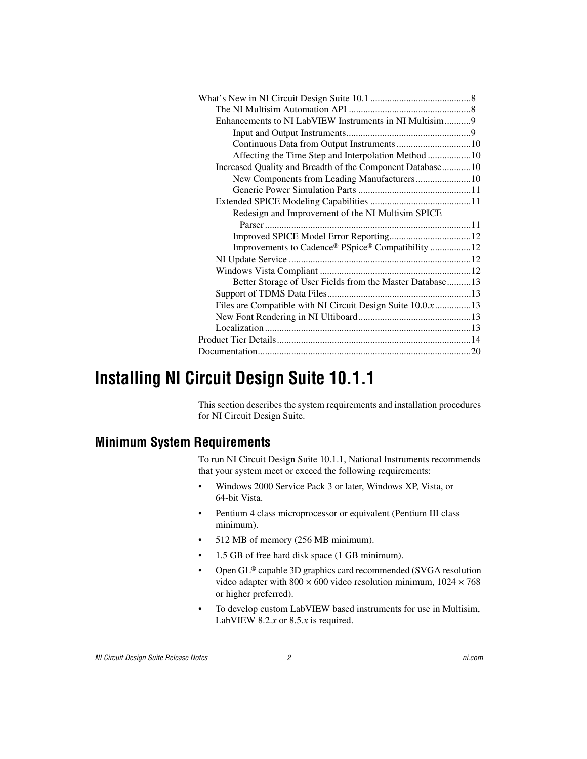| Enhancements to NI LabVIEW Instruments in NI Multisim9    |  |
|-----------------------------------------------------------|--|
|                                                           |  |
|                                                           |  |
| Affecting the Time Step and Interpolation Method 10       |  |
| Increased Quality and Breadth of the Component Database10 |  |
| New Components from Leading Manufacturers10               |  |
|                                                           |  |
|                                                           |  |
| Redesign and Improvement of the NI Multisim SPICE         |  |
|                                                           |  |
|                                                           |  |
| Improvements to Cadence® PSpice® Compatibility 12         |  |
|                                                           |  |
|                                                           |  |
| Better Storage of User Fields from the Master Database 13 |  |
|                                                           |  |
| Files are Compatible with NI Circuit Design Suite 10.0x13 |  |
|                                                           |  |
|                                                           |  |
|                                                           |  |
|                                                           |  |

## <span id="page-1-0"></span>**Installing NI Circuit Design Suite 10.1.1**

This section describes the system requirements and installation procedures for NI Circuit Design Suite.

## <span id="page-1-1"></span>**Minimum System Requirements**

To run NI Circuit Design Suite 10.1.1, National Instruments recommends that your system meet or exceed the following requirements:

- Windows 2000 Service Pack 3 or later, Windows XP, Vista, or 64-bit Vista.
- Pentium 4 class microprocessor or equivalent (Pentium III class minimum).
- 512 MB of memory (256 MB minimum).
- 1.5 GB of free hard disk space (1 GB minimum).
- Open GL® capable 3D graphics card recommended (SVGA resolution video adapter with  $800 \times 600$  video resolution minimum,  $1024 \times 768$ or higher preferred).
- To develop custom LabVIEW based instruments for use in Multisim, LabVIEW 8.2. $x$  or 8.5. $x$  is required.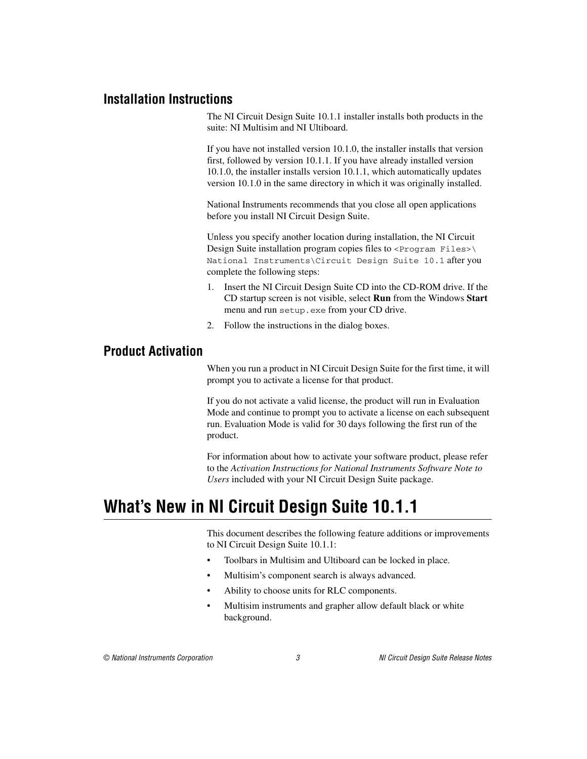#### <span id="page-2-0"></span>**Installation Instructions**

The NI Circuit Design Suite 10.1.1 installer installs both products in the suite: NI Multisim and NI Ultiboard.

If you have not installed version 10.1.0, the installer installs that version first, followed by version 10.1.1. If you have already installed version 10.1.0, the installer installs version 10.1.1, which automatically updates version 10.1.0 in the same directory in which it was originally installed.

National Instruments recommends that you close all open applications before you install NI Circuit Design Suite.

Unless you specify another location during installation, the NI Circuit Design Suite installation program copies files to <Program Files>\ National Instruments\Circuit Design Suite 10.1 after you complete the following steps:

- 1. Insert the NI Circuit Design Suite CD into the CD-ROM drive. If the CD startup screen is not visible, select **Run** from the Windows **Start** menu and run setup.exe from your CD drive.
- 2. Follow the instructions in the dialog boxes.

#### <span id="page-2-1"></span>**Product Activation**

When you run a product in NI Circuit Design Suite for the first time, it will prompt you to activate a license for that product.

If you do not activate a valid license, the product will run in Evaluation Mode and continue to prompt you to activate a license on each subsequent run. Evaluation Mode is valid for 30 days following the first run of the product.

For information about how to activate your software product, please refer to the *Activation Instructions for National Instruments Software Note to Users* included with your NI Circuit Design Suite package.

## <span id="page-2-2"></span>**What's New in NI Circuit Design Suite 10.1.1**

This document describes the following feature additions or improvements to NI Circuit Design Suite 10.1.1:

- Toolbars in Multisim and Ultiboard can be locked in place.
- Multisim's component search is always advanced.
- Ability to choose units for RLC components.
- Multisim instruments and grapher allow default black or white background.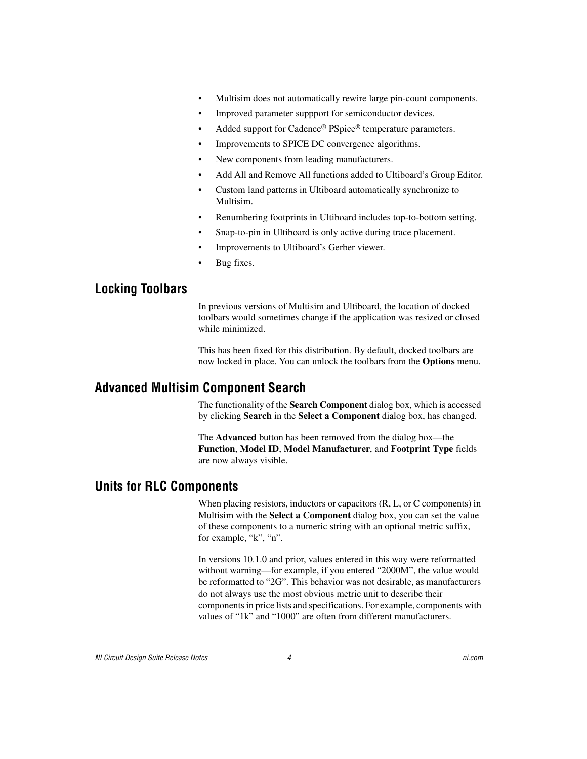- Multisim does not automatically rewire large pin-count components.
- Improved parameter suppport for semiconductor devices.
- Added support for Cadence® PSpice® temperature parameters.
- Improvements to SPICE DC convergence algorithms.
- New components from leading manufacturers.
- Add All and Remove All functions added to Ultiboard's Group Editor.
- Custom land patterns in Ultiboard automatically synchronize to Multisim.
- Renumbering footprints in Ultiboard includes top-to-bottom setting.
- Snap-to-pin in Ultiboard is only active during trace placement.
- Improvements to Ultiboard's Gerber viewer.
- Bug fixes.

#### <span id="page-3-0"></span>**Locking Toolbars**

In previous versions of Multisim and Ultiboard, the location of docked toolbars would sometimes change if the application was resized or closed while minimized.

This has been fixed for this distribution. By default, docked toolbars are now locked in place. You can unlock the toolbars from the **Options** menu.

#### <span id="page-3-1"></span>**Advanced Multisim Component Search**

The functionality of the **Search Component** dialog box, which is accessed by clicking **Search** in the **Select a Component** dialog box, has changed.

The **Advanced** button has been removed from the dialog box—the **Function**, **Model ID**, **Model Manufacturer**, and **Footprint Type** fields are now always visible.

#### <span id="page-3-2"></span>**Units for RLC Components**

When placing resistors, inductors or capacitors (R, L, or C components) in Multisim with the **Select a Component** dialog box, you can set the value of these components to a numeric string with an optional metric suffix, for example, "k", "n".

In versions 10.1.0 and prior, values entered in this way were reformatted without warning—for example, if you entered "2000M", the value would be reformatted to "2G". This behavior was not desirable, as manufacturers do not always use the most obvious metric unit to describe their components in price lists and specifications. For example, components with values of "1k" and "1000" are often from different manufacturers.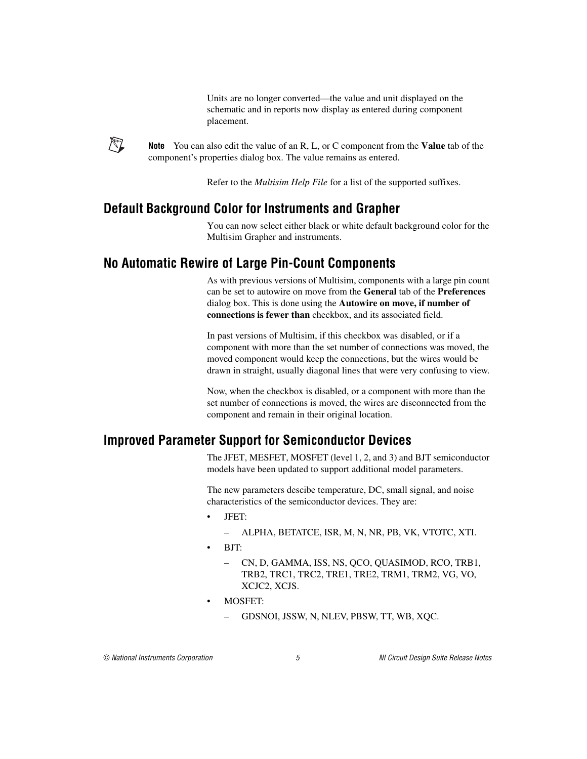Units are no longer converted—the value and unit displayed on the schematic and in reports now display as entered during component placement.



**Note** You can also edit the value of an R, L, or C component from the **Value** tab of the component's properties dialog box. The value remains as entered.

Refer to the *Multisim Help File* for a list of the supported suffixes.

### <span id="page-4-0"></span>**Default Background Color for Instruments and Grapher**

You can now select either black or white default background color for the Multisim Grapher and instruments.

## <span id="page-4-1"></span>**No Automatic Rewire of Large Pin-Count Components**

As with previous versions of Multisim, components with a large pin count can be set to autowire on move from the **General** tab of the **Preferences** dialog box. This is done using the **Autowire on move, if number of connections is fewer than** checkbox, and its associated field.

In past versions of Multisim, if this checkbox was disabled, or if a component with more than the set number of connections was moved, the moved component would keep the connections, but the wires would be drawn in straight, usually diagonal lines that were very confusing to view.

Now, when the checkbox is disabled, or a component with more than the set number of connections is moved, the wires are disconnected from the component and remain in their original location.

## <span id="page-4-2"></span>**Improved Parameter Support for Semiconductor Devices**

The JFET, MESFET, MOSFET (level 1, 2, and 3) and BJT semiconductor models have been updated to support additional model parameters.

The new parameters descibe temperature, DC, small signal, and noise characteristics of the semiconductor devices. They are:

- JFET:
	- ALPHA, BETATCE, ISR, M, N, NR, PB, VK, VTOTC, XTI.
- $BIT'$ 
	- CN, D, GAMMA, ISS, NS, QCO, QUASIMOD, RCO, TRB1, TRB2, TRC1, TRC2, TRE1, TRE2, TRM1, TRM2, VG, VO, XCJC2, XCJS.
- MOSFET:
	- GDSNOI, JSSW, N, NLEV, PBSW, TT, WB, XQC.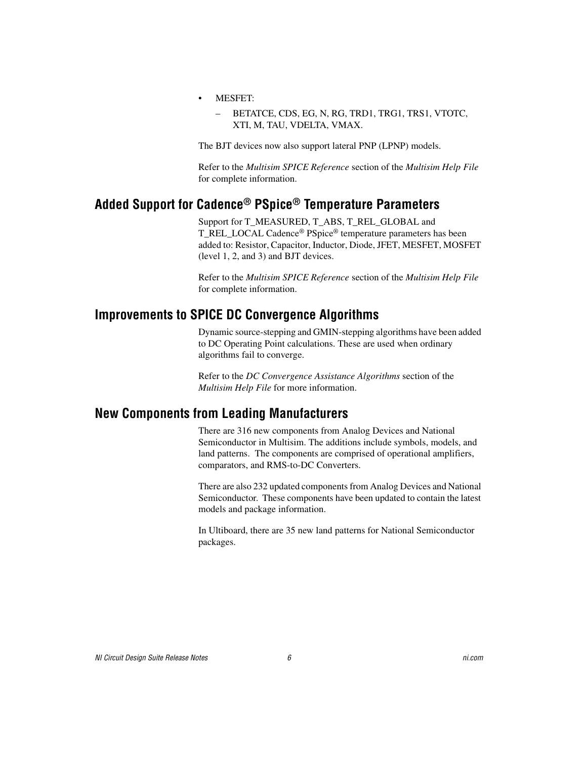- MESFET:
	- BETATCE, CDS, EG, N, RG, TRD1, TRG1, TRS1, VTOTC, XTI, M, TAU, VDELTA, VMAX.

The BJT devices now also support lateral PNP (LPNP) models.

Refer to the *Multisim SPICE Reference* section of the *Multisim Help File* for complete information.

## <span id="page-5-0"></span>**Added Support for Cadence® PSpice® Temperature Parameters**

Support for T\_MEASURED, T\_ABS, T\_REL\_GLOBAL and T\_REL\_LOCAL Cadence<sup>®</sup> PSpice<sup>®</sup> temperature parameters has been added to: Resistor, Capacitor, Inductor, Diode, JFET, MESFET, MOSFET (level 1, 2, and 3) and BJT devices.

Refer to the *Multisim SPICE Reference* section of the *Multisim Help File* for complete information.

#### <span id="page-5-1"></span>**Improvements to SPICE DC Convergence Algorithms**

Dynamic source-stepping and GMIN-stepping algorithms have been added to DC Operating Point calculations. These are used when ordinary algorithms fail to converge.

Refer to the *DC Convergence Assistance Algorithms* section of the *Multisim Help File* for more information.

#### <span id="page-5-2"></span>**New Components from Leading Manufacturers**

There are 316 new components from Analog Devices and National Semiconductor in Multisim. The additions include symbols, models, and land patterns. The components are comprised of operational amplifiers, comparators, and RMS-to-DC Converters.

There are also 232 updated components from Analog Devices and National Semiconductor. These components have been updated to contain the latest models and package information.

In Ultiboard, there are 35 new land patterns for National Semiconductor packages.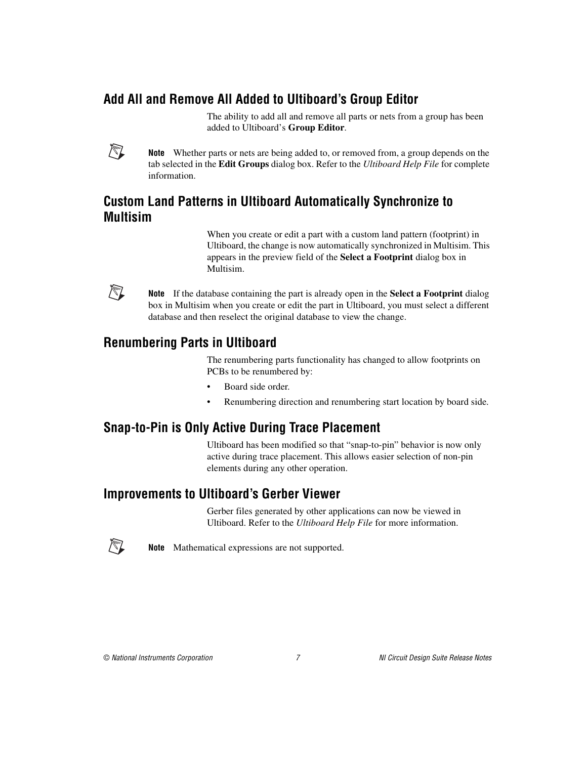## <span id="page-6-0"></span>**Add All and Remove All Added to Ultiboard's Group Editor**

The ability to add all and remove all parts or nets from a group has been added to Ultiboard's **Group Editor**.



**Note** Whether parts or nets are being added to, or removed from, a group depends on the tab selected in the **Edit Groups** dialog box. Refer to the *Ultiboard Help File* for complete information.

## <span id="page-6-1"></span>**Custom Land Patterns in Ultiboard Automatically Synchronize to Multisim**

When you create or edit a part with a custom land pattern (footprint) in Ultiboard, the change is now automatically synchronized in Multisim. This appears in the preview field of the **Select a Footprint** dialog box in Multisim.



**Note** If the database containing the part is already open in the **Select a Footprint** dialog box in Multisim when you create or edit the part in Ultiboard, you must select a different database and then reselect the original database to view the change.

## <span id="page-6-2"></span>**Renumbering Parts in Ultiboard**

The renumbering parts functionality has changed to allow footprints on PCBs to be renumbered by:

- Board side order.
- Renumbering direction and renumbering start location by board side.

## <span id="page-6-3"></span>**Snap-to-Pin is Only Active During Trace Placement**

Ultiboard has been modified so that "snap-to-pin" behavior is now only active during trace placement. This allows easier selection of non-pin elements during any other operation.

## <span id="page-6-4"></span>**Improvements to Ultiboard's Gerber Viewer**

Gerber files generated by other applications can now be viewed in Ultiboard. Refer to the *Ultiboard Help File* for more information.



**Note** Mathematical expressions are not supported.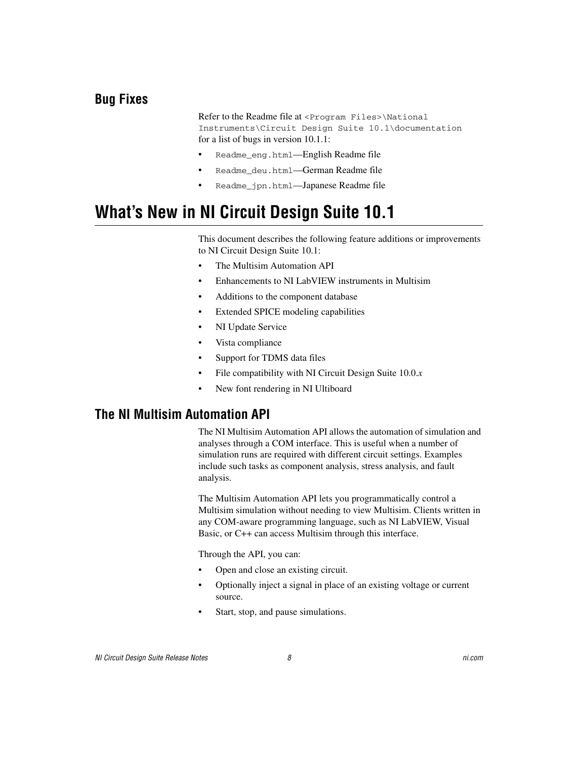## <span id="page-7-0"></span>**Bug Fixes**

Refer to the Readme file at <Program Files>\National Instruments\Circuit Design Suite 10.1\documentation for a list of bugs in version 10.1.1:

- Readme\_eng.html—English Readme file
- Readme\_deu.html—German Readme file
- Readme jpn.html—Japanese Readme file

## <span id="page-7-1"></span>**What's New in NI Circuit Design Suite 10.1**

This document describes the following feature additions or improvements to NI Circuit Design Suite 10.1:

- The Multisim Automation API
- Enhancements to NI LabVIEW instruments in Multisim
- Additions to the component database
- Extended SPICE modeling capabilities
- NI Update Service
- Vista compliance
- Support for TDMS data files
- File compatibility with NI Circuit Design Suite 10.0.*x*
- New font rendering in NI Ultiboard

#### <span id="page-7-2"></span>**The NI Multisim Automation API**

The NI Multisim Automation API allows the automation of simulation and analyses through a COM interface. This is useful when a number of simulation runs are required with different circuit settings. Examples include such tasks as component analysis, stress analysis, and fault analysis.

The Multisim Automation API lets you programmatically control a Multisim simulation without needing to view Multisim. Clients written in any COM-aware programming language, such as NI LabVIEW, Visual Basic, or C++ can access Multisim through this interface.

Through the API, you can:

- Open and close an existing circuit.
- Optionally inject a signal in place of an existing voltage or current source.
- Start, stop, and pause simulations.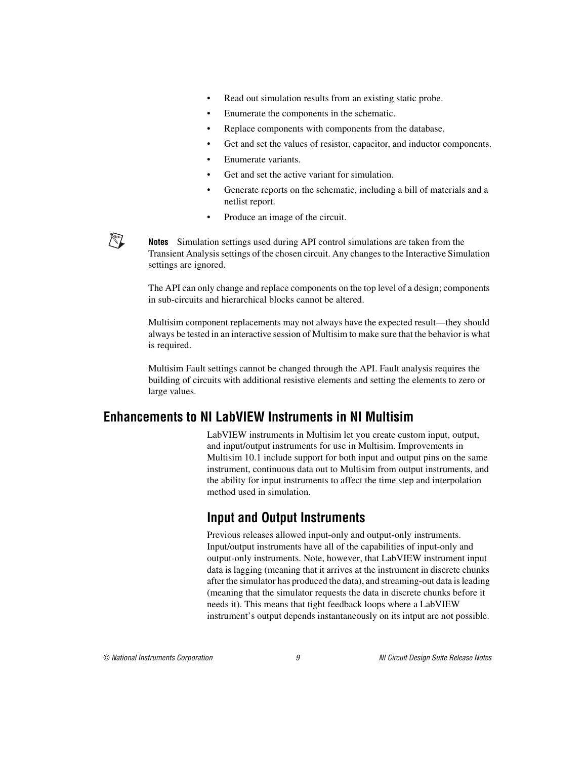- Read out simulation results from an existing static probe.
- Enumerate the components in the schematic.
- Replace components with components from the database.
- Get and set the values of resistor, capacitor, and inductor components.
- Enumerate variants.
- Get and set the active variant for simulation.
- Generate reports on the schematic, including a bill of materials and a netlist report.
- Produce an image of the circuit.



**Notes** Simulation settings used during API control simulations are taken from the Transient Analysis settings of the chosen circuit. Any changes to the Interactive Simulation settings are ignored.

The API can only change and replace components on the top level of a design; components in sub-circuits and hierarchical blocks cannot be altered.

Multisim component replacements may not always have the expected result—they should always be tested in an interactive session of Multisim to make sure that the behavior is what is required.

Multisim Fault settings cannot be changed through the API. Fault analysis requires the building of circuits with additional resistive elements and setting the elements to zero or large values.

#### <span id="page-8-1"></span><span id="page-8-0"></span>**Enhancements to NI LabVIEW Instruments in NI Multisim**

LabVIEW instruments in Multisim let you create custom input, output, and input/output instruments for use in Multisim. Improvements in Multisim 10.1 include support for both input and output pins on the same instrument, continuous data out to Multisim from output instruments, and the ability for input instruments to affect the time step and interpolation method used in simulation.

## **Input and Output Instruments**

Previous releases allowed input-only and output-only instruments. Input/output instruments have all of the capabilities of input-only and output-only instruments. Note, however, that LabVIEW instrument input data is lagging (meaning that it arrives at the instrument in discrete chunks after the simulator has produced the data), and streaming-out data is leading (meaning that the simulator requests the data in discrete chunks before it needs it). This means that tight feedback loops where a LabVIEW instrument's output depends instantaneously on its intput are not possible.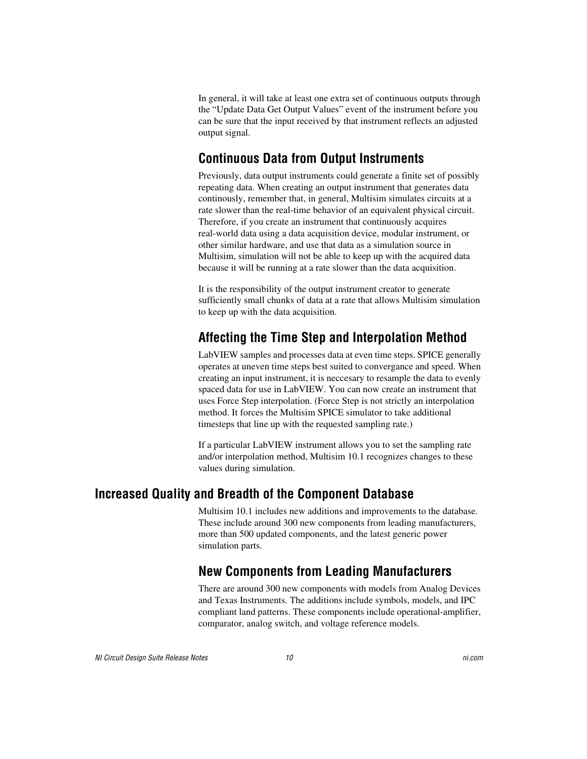In general, it will take at least one extra set of continuous outputs through the "Update Data Get Output Values" event of the instrument before you can be sure that the input received by that instrument reflects an adjusted output signal.

## <span id="page-9-0"></span>**Continuous Data from Output Instruments**

Previously, data output instruments could generate a finite set of possibly repeating data. When creating an output instrument that generates data continously, remember that, in general, Multisim simulates circuits at a rate slower than the real-time behavior of an equivalent physical circuit. Therefore, if you create an instrument that continuously acquires real-world data using a data acquisition device, modular instrument, or other similar hardware, and use that data as a simulation source in Multisim, simulation will not be able to keep up with the acquired data because it will be running at a rate slower than the data acquisition.

It is the responsibility of the output instrument creator to generate sufficiently small chunks of data at a rate that allows Multisim simulation to keep up with the data acquisition.

## <span id="page-9-1"></span>**Affecting the Time Step and Interpolation Method**

LabVIEW samples and processes data at even time steps. SPICE generally operates at uneven time steps best suited to convergance and speed. When creating an input instrument, it is neccesary to resample the data to evenly spaced data for use in LabVIEW. You can now create an instrument that uses Force Step interpolation. (Force Step is not strictly an interpolation method. It forces the Multisim SPICE simulator to take additional timesteps that line up with the requested sampling rate.)

If a particular LabVIEW instrument allows you to set the sampling rate and/or interpolation method, Multisim 10.1 recognizes changes to these values during simulation.

## <span id="page-9-3"></span><span id="page-9-2"></span>**Increased Quality and Breadth of the Component Database**

Multisim 10.1 includes new additions and improvements to the database. These include around 300 new components from leading manufacturers, more than 500 updated components, and the latest generic power simulation parts.

## **New Components from Leading Manufacturers**

There are around 300 new components with models from Analog Devices and Texas Instruments. The additions include symbols, models, and IPC compliant land patterns. These components include operational-amplifier, comparator, analog switch, and voltage reference models.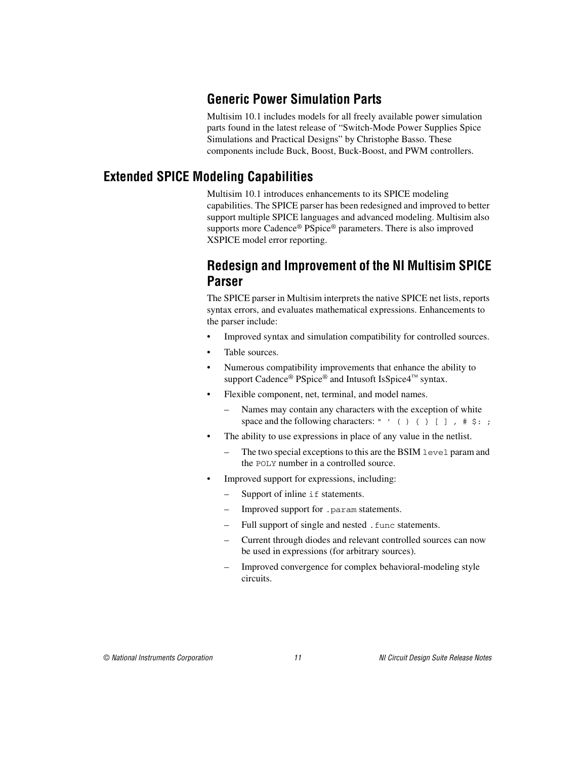## **Generic Power Simulation Parts**

Multisim 10.1 includes models for all freely available power simulation parts found in the latest release of "Switch-Mode Power Supplies Spice Simulations and Practical Designs" by Christophe Basso. These components include Buck, Boost, Buck-Boost, and PWM controllers.

## <span id="page-10-2"></span><span id="page-10-1"></span><span id="page-10-0"></span>**Extended SPICE Modeling Capabilities**

Multisim 10.1 introduces enhancements to its SPICE modeling capabilities. The SPICE parser has been redesigned and improved to better support multiple SPICE languages and advanced modeling. Multisim also supports more Cadence® PSpice® parameters. There is also improved XSPICE model error reporting.

#### **Redesign and Improvement of the NI Multisim SPICE Parser**

The SPICE parser in Multisim interprets the native SPICE net lists, reports syntax errors, and evaluates mathematical expressions. Enhancements to the parser include:

- Improved syntax and simulation compatibility for controlled sources.
- Table sources.
- Numerous compatibility improvements that enhance the ability to support Cadence® PSpice® and Intusoft IsSpice4™ syntax.
- Flexible component, net, terminal, and model names.
	- Names may contain any characters with the exception of white space and the following characters: " ' ( )  $\{ \}$  [ ],  $\# \$ ; ;
- The ability to use expressions in place of any value in the netlist.
	- The two special exceptions to this are the BSIM level param and the POLY number in a controlled source.
- Improved support for expressions, including:
	- Support of inline if statements.
	- Improved support for .param statements.
	- Full support of single and nested . func statements.
	- Current through diodes and relevant controlled sources can now be used in expressions (for arbitrary sources).
	- Improved convergence for complex behavioral-modeling style circuits.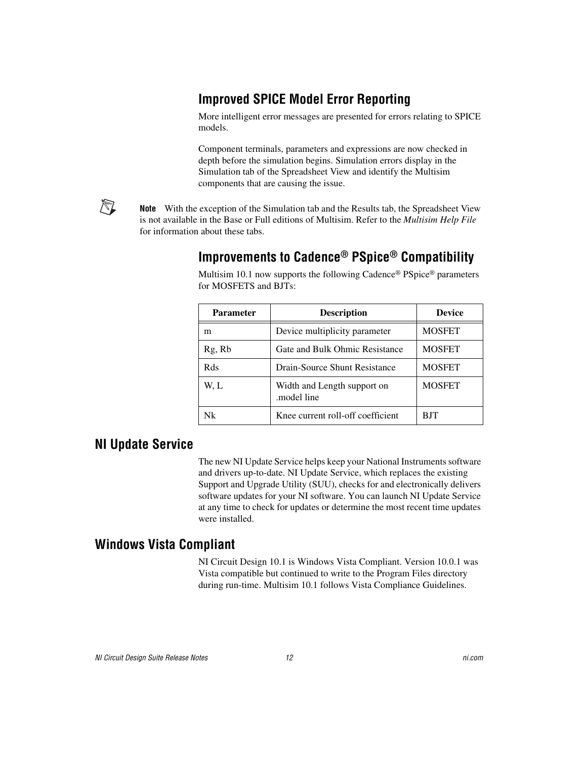## <span id="page-11-0"></span>**Improved SPICE Model Error Reporting**

More intelligent error messages are presented for errors relating to SPICE models.

Component terminals, parameters and expressions are now checked in depth before the simulation begins. Simulation errors display in the Simulation tab of the Spreadsheet View and identify the Multisim components that are causing the issue.

**Note** With the exception of the Simulation tab and the Results tab, the Spreadsheet View is not available in the Base or Full editions of Multisim. Refer to the *Multisim Help File* for information about these tabs.

### **Improvements to Cadence® PSpice® Compatibility**

| <b>Parameter</b> | <b>Description</b>                         | <b>Device</b> |
|------------------|--------------------------------------------|---------------|
| m                | Device multiplicity parameter              | <b>MOSFET</b> |
| Rg, Rb           | Gate and Bulk Ohmic Resistance             | <b>MOSFET</b> |
| Rds              | Drain-Source Shunt Resistance              | <b>MOSFET</b> |
| W. L             | Width and Length support on<br>model line. | <b>MOSFET</b> |
| Nk               | Knee current roll-off coefficient          | <b>BJT</b>    |

Multisim 10.1 now supports the following Cadence® PSpice® parameters for MOSFETS and BJTs:

#### <span id="page-11-2"></span>**NI Update Service**

<span id="page-11-1"></span>/\\]

The new NI Update Service helps keep your National Instruments software and drivers up-to-date. NI Update Service, which replaces the existing Support and Upgrade Utility (SUU), checks for and electronically delivers software updates for your NI software. You can launch NI Update Service at any time to check for updates or determine the most recent time updates were installed.

#### <span id="page-11-3"></span>**Windows Vista Compliant**

NI Circuit Design 10.1 is Windows Vista Compliant. Version 10.0.1 was Vista compatible but continued to write to the Program Files directory during run-time. Multisim 10.1 follows Vista Compliance Guidelines.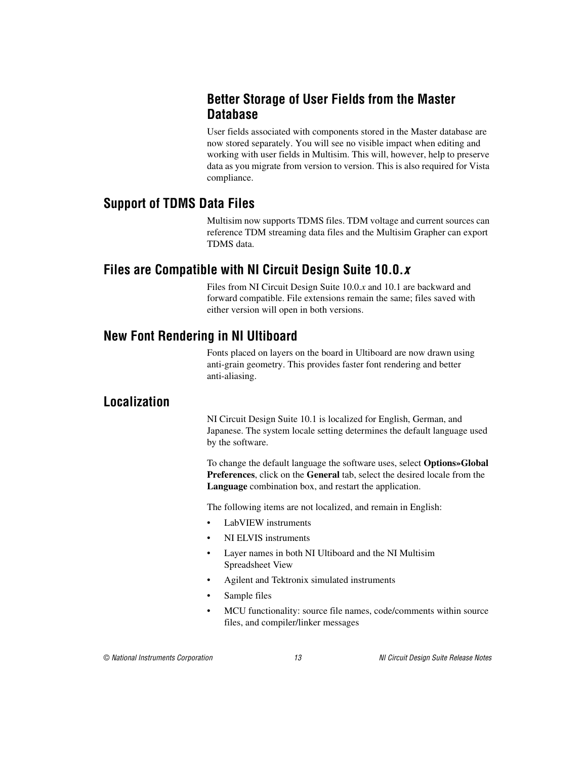#### <span id="page-12-0"></span>**Better Storage of User Fields from the Master Database**

User fields associated with components stored in the Master database are now stored separately. You will see no visible impact when editing and working with user fields in Multisim. This will, however, help to preserve data as you migrate from version to version. This is also required for Vista compliance.

#### <span id="page-12-1"></span>**Support of TDMS Data Files**

Multisim now supports TDMS files. TDM voltage and current sources can reference TDM streaming data files and the Multisim Grapher can export TDMS data.

### <span id="page-12-2"></span>**Files are Compatible with NI Circuit Design Suite 10.0.***x*

Files from NI Circuit Design Suite 10.0.*x* and 10.1 are backward and forward compatible. File extensions remain the same; files saved with either version will open in both versions.

## <span id="page-12-3"></span>**New Font Rendering in NI Ultiboard**

Fonts placed on layers on the board in Ultiboard are now drawn using anti-grain geometry. This provides faster font rendering and better anti-aliasing.

## <span id="page-12-4"></span>**Localization**

NI Circuit Design Suite 10.1 is localized for English, German, and Japanese. The system locale setting determines the default language used by the software.

To change the default language the software uses, select **Options»Global Preferences**, click on the **General** tab, select the desired locale from the **Language** combination box, and restart the application.

The following items are not localized, and remain in English:

- LabVIEW instruments
- NI ELVIS instruments
- Layer names in both NI Ultiboard and the NI Multisim Spreadsheet View
- Agilent and Tektronix simulated instruments
- Sample files
- MCU functionality: source file names, code/comments within source files, and compiler/linker messages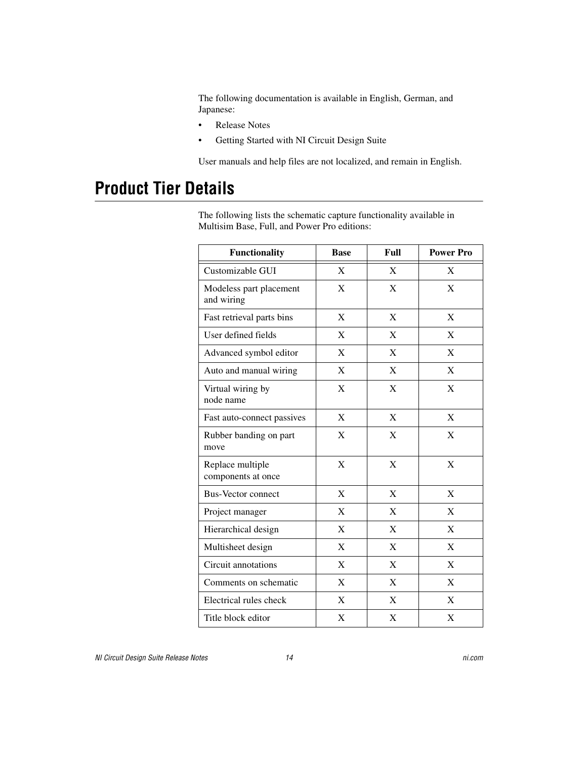The following documentation is available in English, German, and Japanese:

- Release Notes
- Getting Started with NI Circuit Design Suite

User manuals and help files are not localized, and remain in English.

## <span id="page-13-0"></span>**Product Tier Details**

The following lists the schematic capture functionality available in Multisim Base, Full, and Power Pro editions:

| <b>Functionality</b>                   | <b>Base</b> | Full        | <b>Power Pro</b> |
|----------------------------------------|-------------|-------------|------------------|
| Customizable GUI                       | X           | X           | X                |
| Modeless part placement<br>and wiring  | X           | X           | X                |
| Fast retrieval parts bins              | X           | X           | X                |
| User defined fields                    | X           | X           | X                |
| Advanced symbol editor                 | X           | X           | X                |
| Auto and manual wiring                 | X           | X           | X                |
| Virtual wiring by<br>node name         | $\mathbf X$ | $\mathbf X$ | X                |
| Fast auto-connect passives             | X           | X           | X                |
| Rubber banding on part<br>move         | X           | X           | X                |
| Replace multiple<br>components at once | X           | X           | X                |
| <b>Bus-Vector connect</b>              | X           | X           | $\mathbf X$      |
| Project manager                        | X           | X           | X                |
| Hierarchical design                    | $\mathbf X$ | $\mathbf X$ | $\mathbf X$      |
| Multisheet design                      | X           | X           | X                |
| Circuit annotations                    | X           | X           | X                |
| Comments on schematic                  | X           | X           | X                |
| Electrical rules check                 | X           | X           | X                |
| Title block editor                     | X           | X           | X                |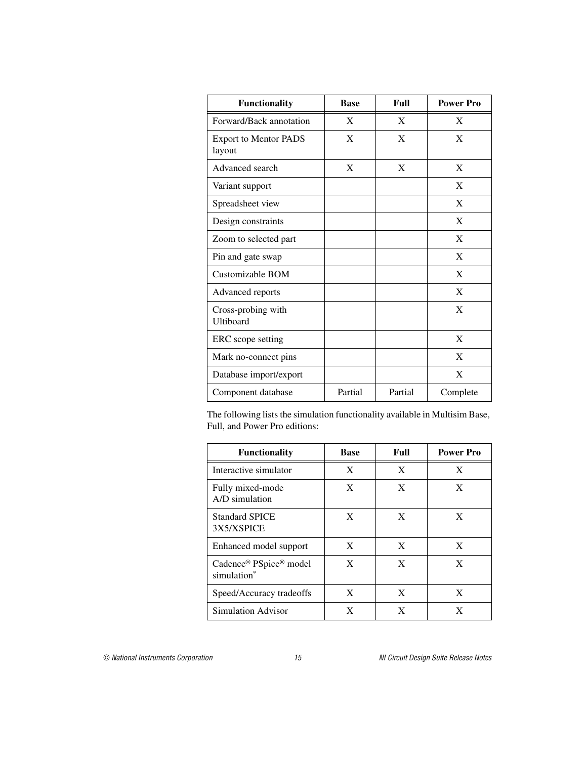| <b>Functionality</b>                   | <b>Base</b> | Full    | <b>Power Pro</b> |
|----------------------------------------|-------------|---------|------------------|
| Forward/Back annotation                | X           | X       | X                |
| <b>Export to Mentor PADS</b><br>layout | X           | X       | X                |
| Advanced search                        | X           | X       | X                |
| Variant support                        |             |         | X                |
| Spreadsheet view                       |             |         | X                |
| Design constraints                     |             |         | X                |
| Zoom to selected part                  |             |         | X                |
| Pin and gate swap                      |             |         | X                |
| Customizable BOM                       |             |         | X                |
| Advanced reports                       |             |         | X                |
| Cross-probing with<br>Ultiboard        |             |         | X                |
| ERC scope setting                      |             |         | X                |
| Mark no-connect pins                   |             |         | X                |
| Database import/export                 |             |         | X                |
| Component database                     | Partial     | Partial | Complete         |

The following lists the simulation functionality available in Multisim Base, Full, and Power Pro editions:

| <b>Functionality</b>                  | Base | Full | <b>Power Pro</b> |
|---------------------------------------|------|------|------------------|
| Interactive simulator                 | X    | X    | X                |
| Fully mixed-mode<br>A/D simulation    | X    | X    | X                |
| <b>Standard SPICE</b><br>3X5/XSPICE   | X    | X    | X                |
| Enhanced model support                | X    | X    | X                |
| Cadence® PSpice® model<br>simulation* | X    | X    | X                |
| Speed/Accuracy tradeoffs              | X    | X    | X                |
| Simulation Advisor                    | X    | X    | X                |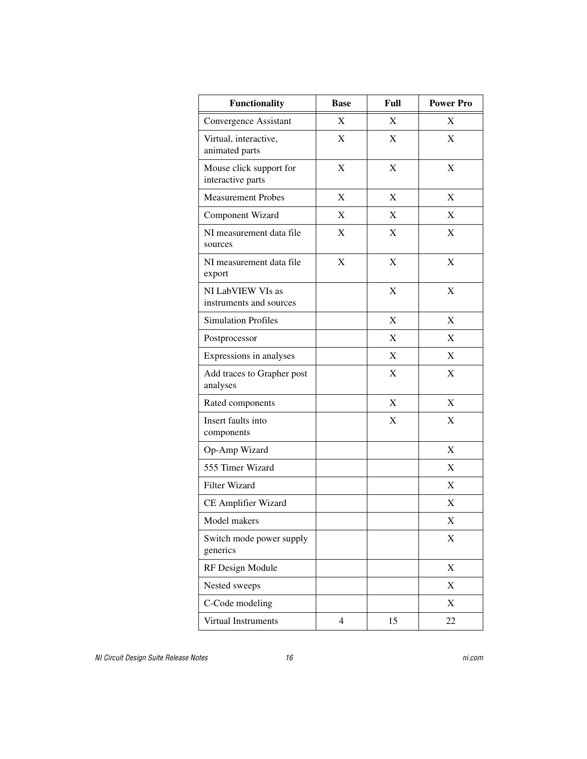| Functionality                                | <b>Base</b>    | Full | <b>Power Pro</b> |
|----------------------------------------------|----------------|------|------------------|
| Convergence Assistant                        | X              | X    | X                |
| Virtual, interactive,<br>animated parts      | X              | X    | X                |
| Mouse click support for<br>interactive parts | X              | X    | X                |
| <b>Measurement Probes</b>                    | X              | X    | X                |
| Component Wizard                             | X              | X    | X                |
| NI measurement data file<br>sources          | X              | X    | X                |
| NI measurement data file<br>export           | X              | X    | X                |
| NI LabVIEW VIs as<br>instruments and sources |                | X    | X                |
| <b>Simulation Profiles</b>                   |                | X    | X                |
| Postprocessor                                |                | X    | X                |
| Expressions in analyses                      |                | X    | X                |
| Add traces to Grapher post<br>analyses       |                | X    | X                |
| Rated components                             |                | X    | X                |
| Insert faults into<br>components             |                | X    | X                |
| Op-Amp Wizard                                |                |      | X                |
| 555 Timer Wizard                             |                |      | X                |
| <b>Filter Wizard</b>                         |                |      | X                |
| CE Amplifier Wizard                          |                |      | X                |
| Model makers                                 |                |      | X                |
| Switch mode power supply<br>generics         |                |      | X                |
| RF Design Module                             |                |      | X                |
| Nested sweeps                                |                |      | X                |
| C-Code modeling                              |                |      | $\mathbf X$      |
| Virtual Instruments                          | $\overline{4}$ | 15   | 22               |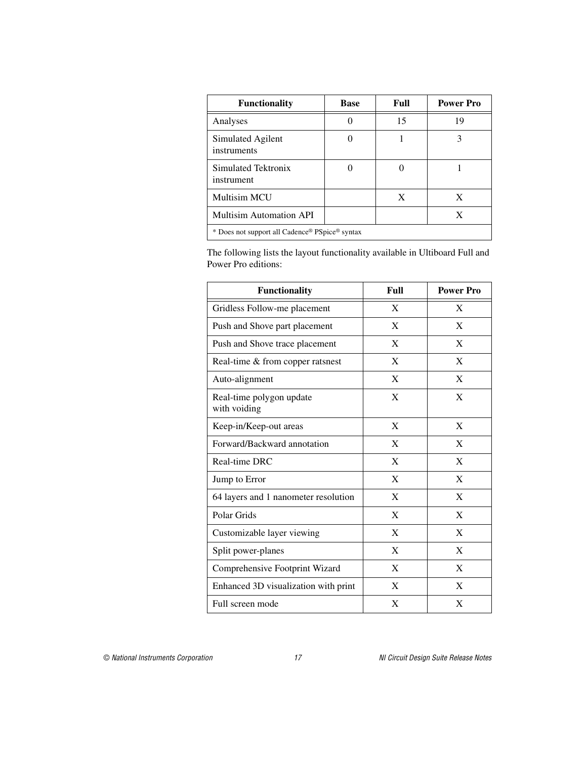| <b>Functionality</b>                           | <b>Base</b> | Full | <b>Power Pro</b> |
|------------------------------------------------|-------------|------|------------------|
| Analyses                                       |             | 15   | 19               |
| Simulated Agilent<br>instruments               |             |      |                  |
| Simulated Tektronix<br>instrument              |             |      |                  |
| <b>Multisim MCU</b>                            |             | X    | X                |
| Multisim Automation API                        |             |      | X                |
| * Does not support all Cadence® PSpice® syntax |             |      |                  |

The following lists the layout functionality available in Ultiboard Full and Power Pro editions:

| <b>Functionality</b>                     | Full | <b>Power Pro</b> |
|------------------------------------------|------|------------------|
| Gridless Follow-me placement             | X    | X                |
| Push and Shove part placement            | X    | X                |
| Push and Shove trace placement           | X    | X                |
| Real-time & from copper ratsnest         | X    | X                |
| Auto-alignment                           | X    | X                |
| Real-time polygon update<br>with voiding | X    | X                |
| Keep-in/Keep-out areas                   | X    | X                |
| Forward/Backward annotation              | X    | X                |
| Real-time DRC                            | X    | X                |
| Jump to Error                            | X    | X                |
| 64 layers and 1 nanometer resolution     | X    | X                |
| Polar Grids                              | X    | X                |
| Customizable layer viewing               | X    | X                |
| Split power-planes                       | X    | X                |
| Comprehensive Footprint Wizard           | X    | X                |
| Enhanced 3D visualization with print     | X    | X                |
| Full screen mode                         | X    | X                |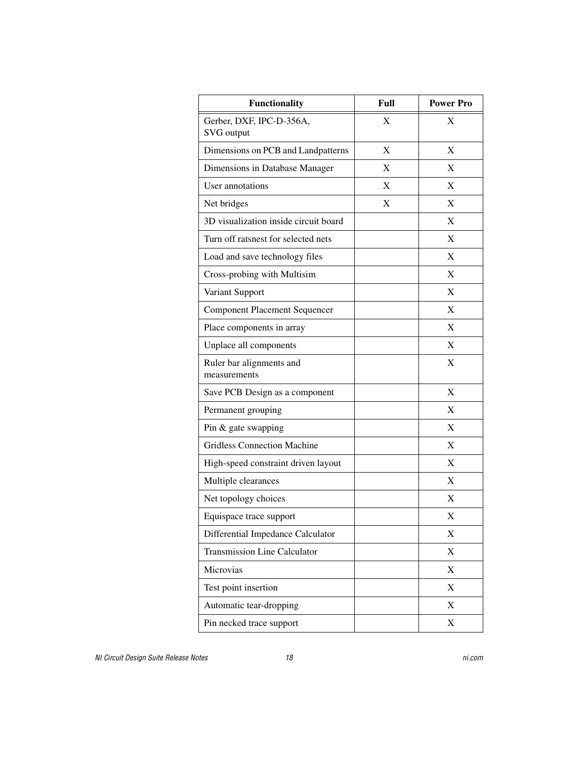| <b>Functionality</b>                     | Full | <b>Power Pro</b>          |
|------------------------------------------|------|---------------------------|
| Gerber, DXF, IPC-D-356A,<br>SVG output   | X    | X                         |
| Dimensions on PCB and Landpatterns       | X    | X                         |
| Dimensions in Database Manager           | X    | X                         |
| User annotations                         | X    | X                         |
| Net bridges                              | X    | X                         |
| 3D visualization inside circuit board    |      | X                         |
| Turn off ratsnest for selected nets      |      | X                         |
| Load and save technology files           |      | X                         |
| Cross-probing with Multisim              |      | $\mathbf X$               |
| Variant Support                          |      | X                         |
| <b>Component Placement Sequencer</b>     |      | X                         |
| Place components in array                |      | X                         |
| Unplace all components                   |      | X                         |
| Ruler bar alignments and<br>measurements |      | X                         |
| Save PCB Design as a component           |      | X                         |
| Permanent grouping                       |      | X                         |
| Pin & gate swapping                      |      | X                         |
| <b>Gridless Connection Machine</b>       |      | X                         |
| High-speed constraint driven layout      |      | X                         |
| Multiple clearances                      |      | X                         |
| Net topology choices                     |      | X                         |
| Equispace trace support                  |      | X                         |
| Differential Impedance Calculator        |      | X                         |
| <b>Transmission Line Calculator</b>      |      | X                         |
| Microvias                                |      | X                         |
| Test point insertion                     |      | X                         |
| Automatic tear-dropping                  |      | $\boldsymbol{\mathrm{X}}$ |
| Pin necked trace support                 |      | X                         |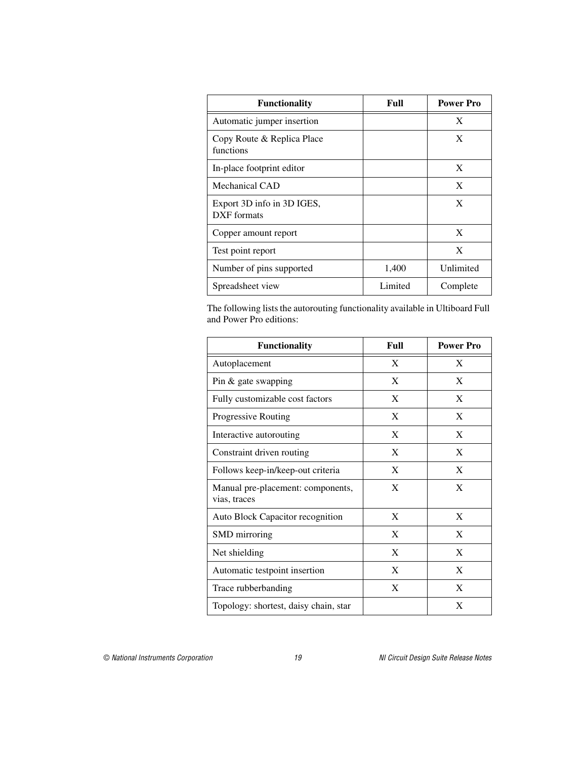| <b>Functionality</b>                      | Full    | <b>Power Pro</b> |
|-------------------------------------------|---------|------------------|
| Automatic jumper insertion                |         | X                |
| Copy Route & Replica Place<br>functions   |         | X                |
| In-place footprint editor                 |         | X                |
| Mechanical CAD                            |         | X                |
| Export 3D info in 3D IGES,<br>DXF formats |         | X                |
| Copper amount report                      |         | X                |
| Test point report                         |         | X                |
| Number of pins supported                  | 1,400   | Unlimited        |
| Spreadsheet view                          | Limited | Complete         |

The following lists the autorouting functionality available in Ultiboard Full and Power Pro editions:

| <b>Functionality</b>                              | Full | <b>Power Pro</b> |
|---------------------------------------------------|------|------------------|
| Autoplacement                                     | X    | X                |
| Pin & gate swapping                               | X    | X                |
| Fully customizable cost factors                   | X    | X                |
| Progressive Routing                               | X    | X                |
| Interactive autorouting                           | X    | X                |
| Constraint driven routing                         | X    | X                |
| Follows keep-in/keep-out criteria                 | X    | X                |
| Manual pre-placement: components,<br>vias, traces | X    | X                |
| Auto Block Capacitor recognition                  | X    | X                |
| SMD mirroring                                     | X    | X                |
| Net shielding                                     | X    | X                |
| Automatic testpoint insertion                     | X    | X                |
| Trace rubberbanding                               | X    | X                |
| Topology: shortest, daisy chain, star             |      | X                |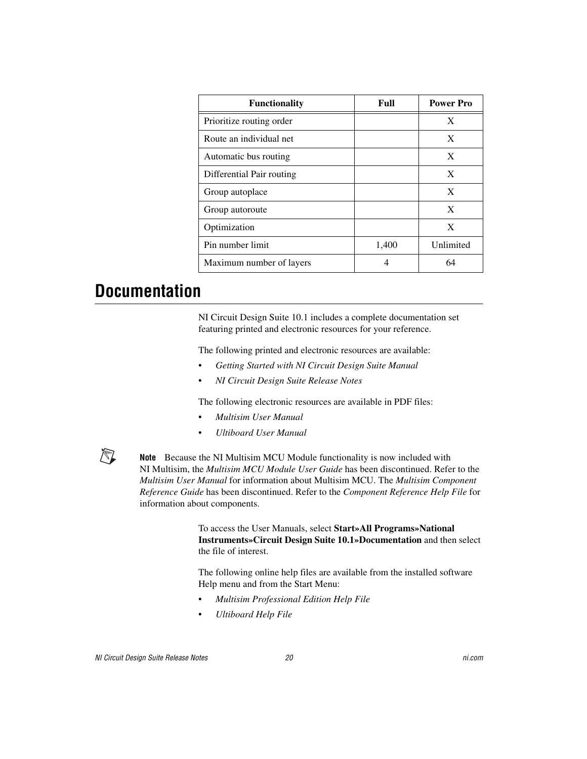| <b>Functionality</b>      | Full  | <b>Power Pro</b> |
|---------------------------|-------|------------------|
| Prioritize routing order  |       | X                |
| Route an individual net   |       | X                |
| Automatic bus routing     |       | X                |
| Differential Pair routing |       | X                |
| Group autoplace           |       | X                |
| Group autoroute           |       | X                |
| Optimization              |       | X                |
| Pin number limit          | 1,400 | Unlimited        |
| Maximum number of layers  |       | 64               |

## <span id="page-19-0"></span>**Documentation**

NI Circuit Design Suite 10.1 includes a complete documentation set featuring printed and electronic resources for your reference.

The following printed and electronic resources are available:

- *Getting Started with NI Circuit Design Suite Manual*
- *NI Circuit Design Suite Release Notes*

The following electronic resources are available in PDF files:

- *Multisim User Manual*
- *Ultiboard User Manual*



**Note** Because the NI Multisim MCU Module functionality is now included with NI Multisim, the *Multisim MCU Module User Guide* has been discontinued. Refer to the *Multisim User Manual* for information about Multisim MCU. The *Multisim Component Reference Guide* has been discontinued. Refer to the *Component Reference Help File* for information about components.

> To access the User Manuals, select **Start»All Programs»National Instruments»Circuit Design Suite 10.1»Documentation** and then select the file of interest.

The following online help files are available from the installed software Help menu and from the Start Menu:

- *Multisim Professional Edition Help File*
- *Ultiboard Help File*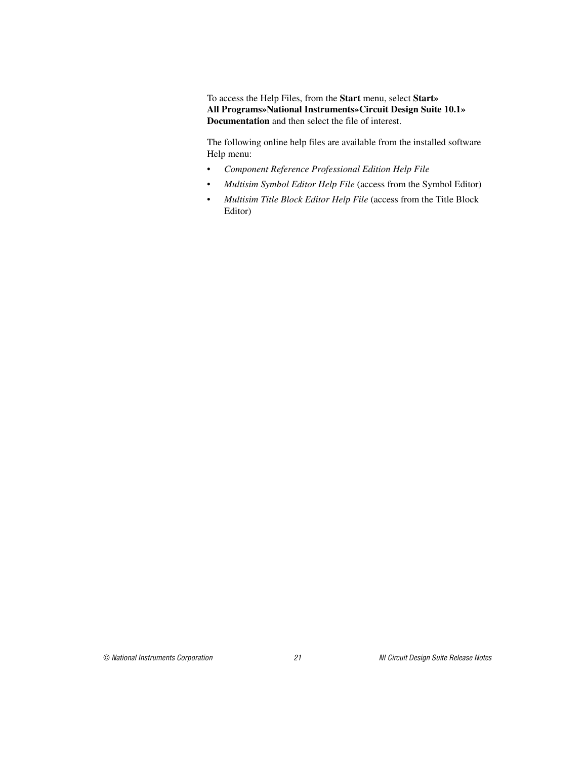To access the Help Files, from the **Start** menu, select **Start» All Programs»National Instruments»Circuit Design Suite 10.1» Documentation** and then select the file of interest.

The following online help files are available from the installed software Help menu:

- *Component Reference Professional Edition Help File*
- *Multisim Symbol Editor Help File* (access from the Symbol Editor)
- *Multisim Title Block Editor Help File* (access from the Title Block Editor)